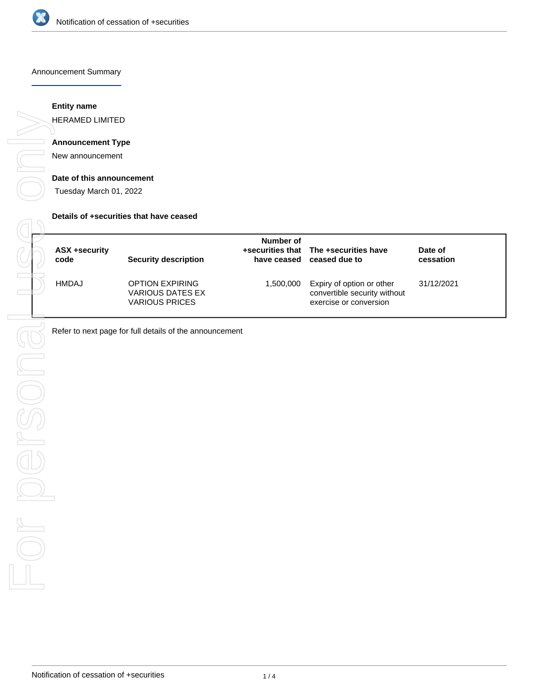

#### Announcement Summary

## **Entity name**

HERAMED LIMITED

# **Announcement Type**

New announcement

#### **Date of this announcement**

Tuesday March 01, 2022

#### **Details of +securities that have ceased**

| ASX +security<br>code | <b>Security description</b>                                         | Number of | +securities that The +securities have<br>have ceased ceased due to                  | Date of<br>cessation |
|-----------------------|---------------------------------------------------------------------|-----------|-------------------------------------------------------------------------------------|----------------------|
| HMDAJ                 | <b>OPTION EXPIRING</b><br>VARIOUS DATES EX<br><b>VARIOUS PRICES</b> | 1,500,000 | Expiry of option or other<br>convertible security without<br>exercise or conversion | 31/12/2021           |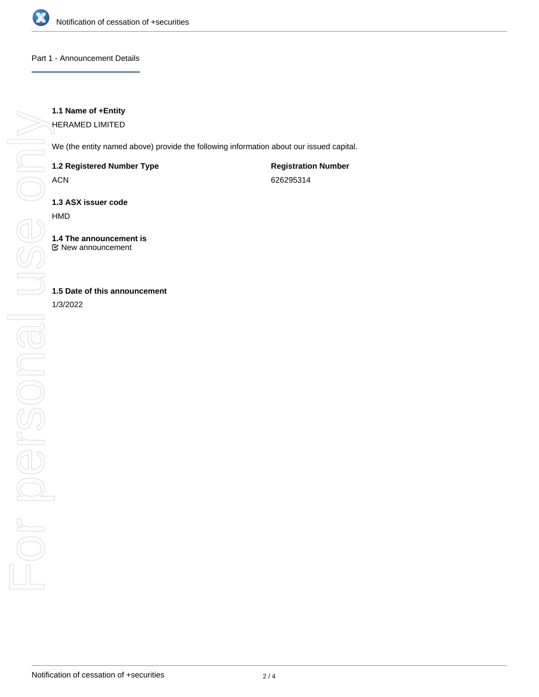

### Part 1 - Announcement Details

## **1.1 Name of +Entity**

HERAMED LIMITED

We (the entity named above) provide the following information about our issued capital.

### **1.2 Registered Number Type**

ACN

**Registration Number** 626295314

**1.3 ASX issuer code**

HMD

**1.4 The announcement is** New announcement

## **1.5 Date of this announcement**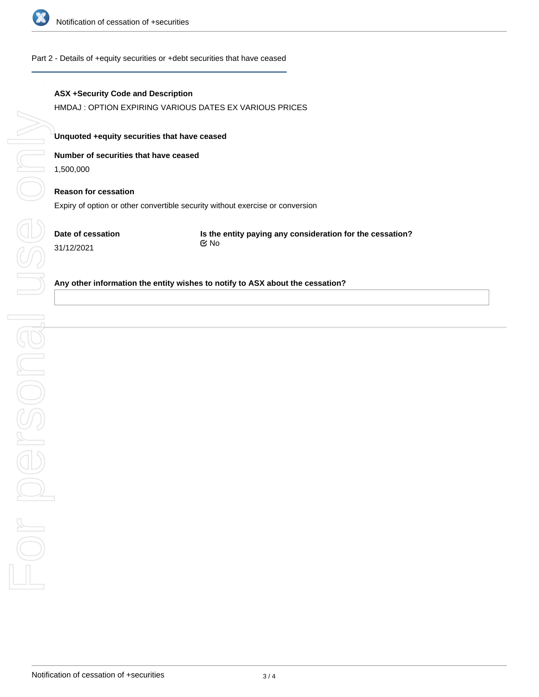

#### Part 2 - Details of +equity securities or +debt securities that have ceased

### **ASX +Security Code and Description**

HMDAJ : OPTION EXPIRING VARIOUS DATES EX VARIOUS PRICES

#### **Unquoted +equity securities that have ceased**

### **Number of securities that have ceased**

1,500,000

# **Reason for cessation**

Expiry of option or other convertible security without exercise or conversion

**Date of cessation** 31/12/2021

**Is the entity paying any consideration for the cessation?** No

#### **Any other information the entity wishes to notify to ASX about the cessation?**